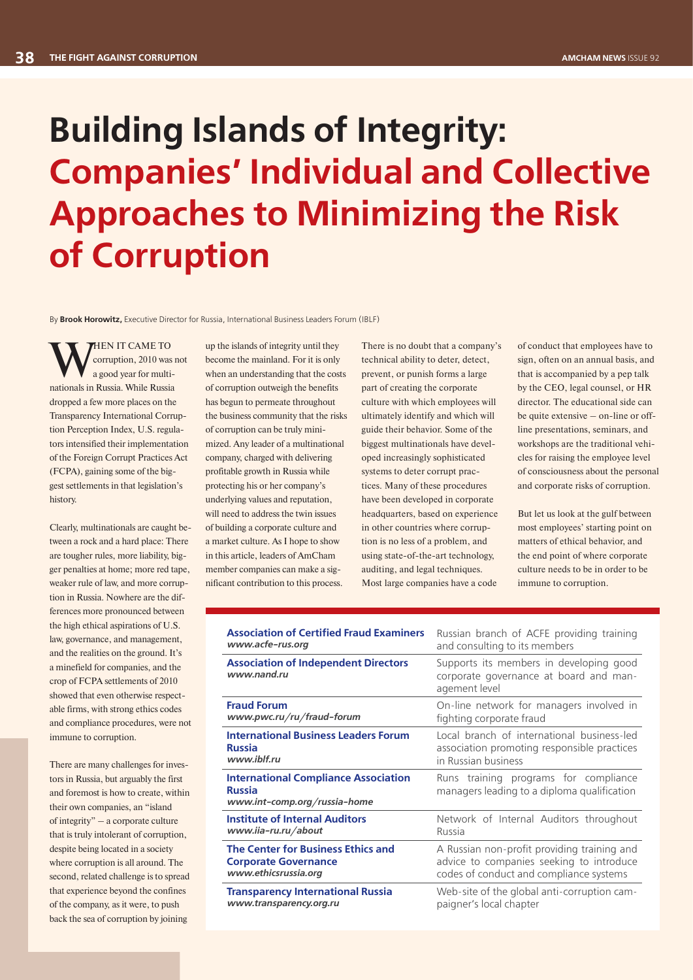## **Building Islands of Integrity: Companies' Individual and Collective Approaches to Minimizing the Risk of Corruption**

By **Brook Horowitz,** Executive Director for Russia, International Business Leaders Forum (IBLF)

WHEN IT CAME TO<br>a good year for multi-<br>nationals in Russia. While Russia corruption, 2010 was not a good year for multinationals in Russia. While Russia dropped a few more places on the Transparency International Corruption Perception Index, U.S. regulators intensified their implementation of the Foreign Corrupt Practices Act (FCPA), gaining some of the biggest settlements in that legislation's history.

Clearly, multinationals are caught between a rock and a hard place: There are tougher rules, more liability, bigger penalties at home; more red tape. weaker rule of law, and more corruption in Russia. Nowhere are the differences more pronounced between the high ethical aspirations of U.S. law, governance, and management, and the realities on the ground. It's a minefield for companies, and the crop of FCPA settlements of 2010 showed that even otherwise respectable firms, with strong ethics codes and compliance procedures, were not immune to corruption.

There are many challenges for investors in Russia, but arguably the first and foremost is how to create, within their own companies, an "island of integrity" – a corporate culture that is truly intolerant of corruption, despite being located in a society where corruption is all around. The second, related challenge is to spread that experience beyond the confines of the company, as it were, to push back the sea of corruption by joining

up the islands of integrity until they become the mainland. For it is only when an understanding that the costs of corruption outweigh the benefits has begun to permeate throughout the business community that the risks of corruption can be truly minimized. Any leader of a multinational company, charged with delivering profitable growth in Russia while protecting his or her company's underlying values and reputation, will need to address the twin issues of building a corporate culture and a market culture. As I hope to show in this article, leaders of AmCham member companies can make a significant contribution to this process.

There is no doubt that a company's technical ability to deter, detect, prevent, or punish forms a large part of creating the corporate culture with which employees will ultimately identify and which will guide their behavior. Some of the biggest multinationals have developed increasingly sophisticated systems to deter corrupt practices. Many of these procedures have been developed in corporate headquarters, based on experience in other countries where corruption is no less of a problem, and using state-of-the-art technology, auditing, and legal techniques. Most large companies have a code

of conduct that employees have to sign, often on an annual basis, and that is accompanied by a pep talk by the CEO, legal counsel, or HR director. The educational side can be quite extensive – on-line or offline presentations, seminars, and workshops are the traditional vehicles for raising the employee level of consciousness about the personal and corporate risks of corruption.

But let us look at the gulf between most employees' starting point on matters of ethical behavior, and the end point of where corporate culture needs to be in order to be immune to corruption.

| <b>Association of Certified Fraud Examiners</b>                                              | Russian branch of ACFE providing training                                                          |
|----------------------------------------------------------------------------------------------|----------------------------------------------------------------------------------------------------|
| www.acfe-rus.org                                                                             | and consulting to its members                                                                      |
| <b>Association of Independent Directors</b><br>www.nand.ru                                   | Supports its members in developing good<br>corporate governance at board and man-<br>agement level |
| <b>Fraud Forum</b>                                                                           | On-line network for managers involved in                                                           |
| www.pwc.ru/ru/fraud-forum                                                                    | fighting corporate fraud                                                                           |
| <b>International Business Leaders Forum</b>                                                  | Local branch of international business-led                                                         |
| <b>Russia</b>                                                                                | association promoting responsible practices                                                        |
| www.iblf.ru                                                                                  | in Russian business                                                                                |
| <b>International Compliance Association</b><br><b>Russia</b><br>www.int-comp.org/russia-home | Runs training programs for compliance<br>managers leading to a diploma qualification               |
| Institute of Internal Auditors                                                               | Network of Internal Auditors throughout                                                            |
| www.iia-ru.ru/about                                                                          | Russia                                                                                             |
| The Center for Business Ethics and                                                           | A Russian non-profit providing training and                                                        |
| <b>Corporate Governance</b>                                                                  | advice to companies seeking to introduce                                                           |
| www.ethicsrussia.org                                                                         | codes of conduct and compliance systems                                                            |
| <b>Transparency International Russia</b>                                                     | Web-site of the global anti-corruption cam-                                                        |
| www.transparency.org.ru                                                                      | paigner's local chapter                                                                            |